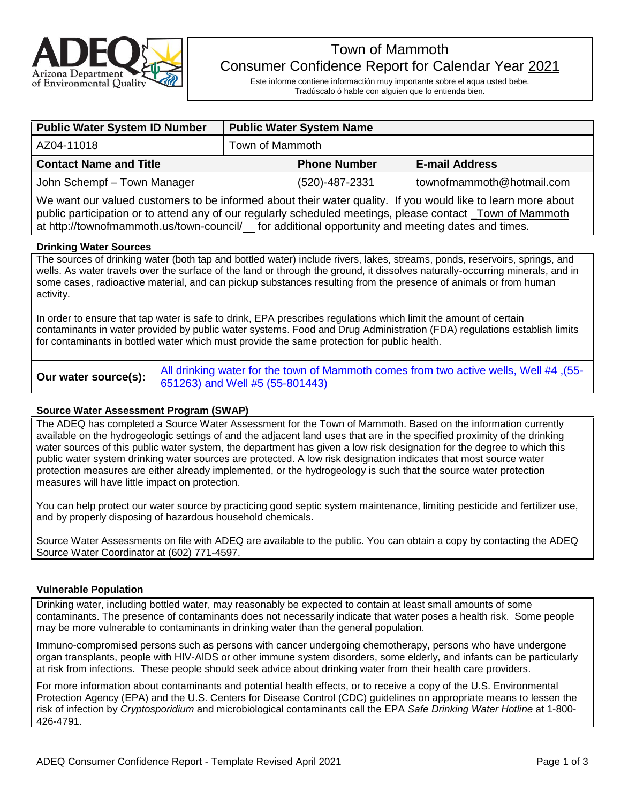

# Town of Mammoth Consumer Confidence Report for Calendar Year 2021

Este informe contiene informactión muy importante sobre el aqua usted bebe. Tradúscalo ó hable con alguien que lo entienda bien.

| <b>Public Water System ID Number</b>                                                                                    | <b>Public Water System Name</b> |                     |                           |  |  |
|-------------------------------------------------------------------------------------------------------------------------|---------------------------------|---------------------|---------------------------|--|--|
| AZ04-11018                                                                                                              | Town of Mammoth                 |                     |                           |  |  |
| <b>Contact Name and Title</b>                                                                                           |                                 | <b>Phone Number</b> | <b>E-mail Address</b>     |  |  |
| John Schempf - Town Manager                                                                                             |                                 | (520)-487-2331      | townofmammoth@hotmail.com |  |  |
| $100$ and the contract of the second to be informed object that unter quality. If you wereld like to leave means object |                                 |                     |                           |  |  |

We want our valued customers to be informed about their water quality. If you would like to learn more about public participation or to attend any of our regularly scheduled meetings, please contact \_Town of Mammoth at http://townofmammoth.us/town-council/ for additional opportunity and meeting dates and times.

#### **Drinking Water Sources**

The sources of drinking water (both tap and bottled water) include rivers, lakes, streams, ponds, reservoirs, springs, and wells. As water travels over the surface of the land or through the ground, it dissolves naturally-occurring minerals, and in some cases, radioactive material, and can pickup substances resulting from the presence of animals or from human activity.

In order to ensure that tap water is safe to drink, EPA prescribes regulations which limit the amount of certain contaminants in water provided by public water systems. Food and Drug Administration (FDA) regulations establish limits for contaminants in bottled water which must provide the same protection for public health.

**Our water source(s):** All drinking water for the town of Mammoth comes from two active wells, Well #4 ,(55-001) 651263) and Well #5 (55-801443)

#### **Source Water Assessment Program (SWAP)**

The ADEQ has completed a Source Water Assessment for the Town of Mammoth. Based on the information currently available on the hydrogeologic settings of and the adjacent land uses that are in the specified proximity of the drinking water sources of this public water system, the department has given a low risk designation for the degree to which this public water system drinking water sources are protected. A low risk designation indicates that most source water protection measures are either already implemented, or the hydrogeology is such that the source water protection measures will have little impact on protection.

You can help protect our water source by practicing good septic system maintenance, limiting pesticide and fertilizer use, and by properly disposing of hazardous household chemicals.

Source Water Assessments on file with ADEQ are available to the public. You can obtain a copy by contacting the ADEQ Source Water Coordinator at (602) 771-4597.

#### **Vulnerable Population**

Drinking water, including bottled water, may reasonably be expected to contain at least small amounts of some contaminants. The presence of contaminants does not necessarily indicate that water poses a health risk. Some people may be more vulnerable to contaminants in drinking water than the general population.

Immuno-compromised persons such as persons with cancer undergoing chemotherapy, persons who have undergone organ transplants, people with HIV-AIDS or other immune system disorders, some elderly, and infants can be particularly at risk from infections. These people should seek advice about drinking water from their health care providers.

For more information about contaminants and potential health effects, or to receive a copy of the U.S. Environmental Protection Agency (EPA) and the U.S. Centers for Disease Control (CDC) guidelines on appropriate means to lessen the risk of infection by *Cryptosporidium* and microbiological contaminants call the EPA *Safe Drinking Water Hotline* at 1-800- 426-4791.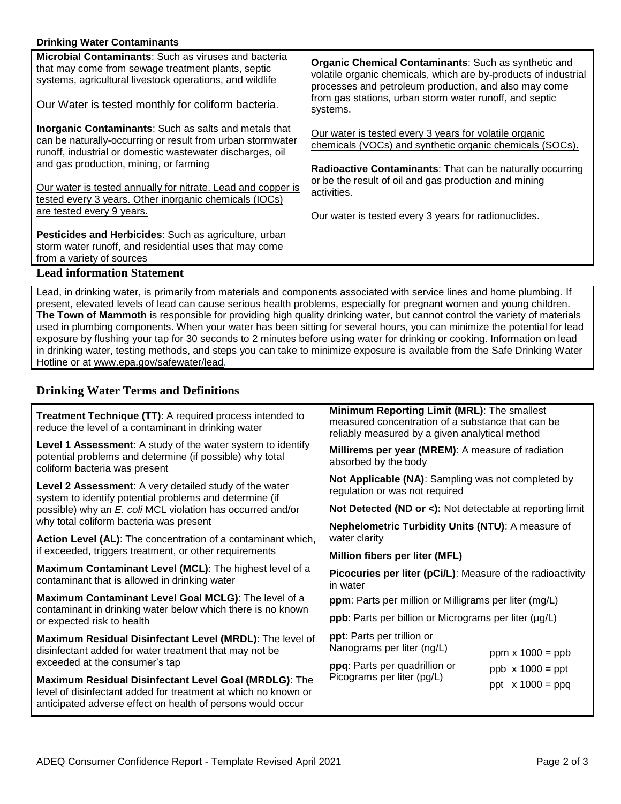#### **Drinking Water Contaminants**

**Microbial Contaminants**: Such as viruses and bacteria that may come from sewage treatment plants, septic systems, agricultural livestock operations, and wildlife

Our Water is tested monthly for coliform bacteria.

**Inorganic Contaminants**: Such as salts and metals that can be naturally-occurring or result from urban stormwater runoff, industrial or domestic wastewater discharges, oil and gas production, mining, or farming

Our water is tested annually for nitrate. Lead and copper is tested every 3 years. Other inorganic chemicals (IOCs) are tested every 9 years.

**Pesticides and Herbicides**: Such as agriculture, urban storm water runoff, and residential uses that may come from a variety of sources

**Organic Chemical Contaminants**: Such as synthetic and volatile organic chemicals, which are by-products of industrial processes and petroleum production, and also may come from gas stations, urban storm water runoff, and septic systems.

Our water is tested every 3 years for volatile organic chemicals (VOCs) and synthetic organic chemicals (SOCs).

**Radioactive Contaminants**: That can be naturally occurring or be the result of oil and gas production and mining activities.

Our water is tested every 3 years for radionuclides.

## **Lead information Statement**

Lead, in drinking water, is primarily from materials and components associated with service lines and home plumbing. If present, elevated levels of lead can cause serious health problems, especially for pregnant women and young children. **The Town of Mammoth** is responsible for providing high quality drinking water, but cannot control the variety of materials used in plumbing components. When your water has been sitting for several hours, you can minimize the potential for lead exposure by flushing your tap for 30 seconds to 2 minutes before using water for drinking or cooking. Information on lead in drinking water, testing methods, and steps you can take to minimize exposure is available from the Safe Drinking Water Hotline or at [www.epa.gov/safewater/lead.](http://www.epa.gov/safewater/lead)

## **Drinking Water Terms and Definitions**

| <b>Treatment Technique (TT):</b> A required process intended to<br>reduce the level of a contaminant in drinking water                                                                 | Minimum Reporting Limit (MRL): The smallest<br>measured concentration of a substance that can be<br>reliably measured by a given analytical method<br>Millirems per year (MREM): A measure of radiation<br>absorbed by the body |  |  |  |  |
|----------------------------------------------------------------------------------------------------------------------------------------------------------------------------------------|---------------------------------------------------------------------------------------------------------------------------------------------------------------------------------------------------------------------------------|--|--|--|--|
| Level 1 Assessment: A study of the water system to identify<br>potential problems and determine (if possible) why total<br>coliform bacteria was present                               |                                                                                                                                                                                                                                 |  |  |  |  |
| Level 2 Assessment: A very detailed study of the water<br>system to identify potential problems and determine (if                                                                      | Not Applicable (NA): Sampling was not completed by<br>regulation or was not required                                                                                                                                            |  |  |  |  |
| possible) why an E. coli MCL violation has occurred and/or                                                                                                                             | Not Detected (ND or <): Not detectable at reporting limit                                                                                                                                                                       |  |  |  |  |
| why total coliform bacteria was present                                                                                                                                                | Nephelometric Turbidity Units (NTU): A measure of<br>water clarity                                                                                                                                                              |  |  |  |  |
| Action Level (AL): The concentration of a contaminant which,<br>if exceeded, triggers treatment, or other requirements                                                                 |                                                                                                                                                                                                                                 |  |  |  |  |
|                                                                                                                                                                                        | Million fibers per liter (MFL)                                                                                                                                                                                                  |  |  |  |  |
| Maximum Contaminant Level (MCL): The highest level of a<br>contaminant that is allowed in drinking water                                                                               | <b>Picocuries per liter (pCi/L):</b> Measure of the radioactivity<br>in water                                                                                                                                                   |  |  |  |  |
| Maximum Contaminant Level Goal MCLG): The level of a                                                                                                                                   | ppm: Parts per million or Milligrams per liter (mg/L)                                                                                                                                                                           |  |  |  |  |
| contaminant in drinking water below which there is no known<br>or expected risk to health                                                                                              | ppb: Parts per billion or Micrograms per liter (µg/L)                                                                                                                                                                           |  |  |  |  |
| Maximum Residual Disinfectant Level (MRDL): The level of<br>disinfectant added for water treatment that may not be                                                                     | ppt: Parts per trillion or<br>Nanograms per liter (ng/L)<br>ppm $x 1000 = ppb$                                                                                                                                                  |  |  |  |  |
| exceeded at the consumer's tap                                                                                                                                                         | ppq: Parts per quadrillion or<br>$ppb \times 1000 = ppt$                                                                                                                                                                        |  |  |  |  |
| Maximum Residual Disinfectant Level Goal (MRDLG): The<br>level of disinfectant added for treatment at which no known or<br>anticipated adverse effect on health of persons would occur | Picograms per liter (pg/L)<br>ppt $x 1000 = ppq$                                                                                                                                                                                |  |  |  |  |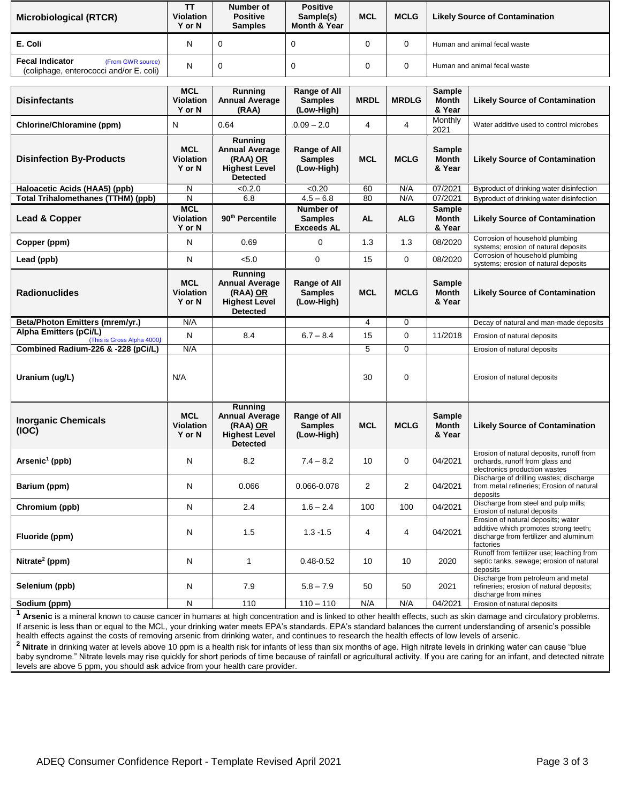| <b>Microbiological (RTCR)</b>                                                          | тт<br><b>Violation</b><br>Y or N | Number of<br><b>Positive</b><br><b>Samples</b> | <b>Positive</b><br>Sample(s)<br>Month & Year | <b>MCL</b> | <b>MCLG</b> | <b>Likely Source of Contamination</b> |
|----------------------------------------------------------------------------------------|----------------------------------|------------------------------------------------|----------------------------------------------|------------|-------------|---------------------------------------|
| E. Coli                                                                                | Ν                                |                                                |                                              |            |             | Human and animal fecal waste          |
| <b>Fecal Indicator</b><br>(From GWR source)<br>(coliphage, enterococci and/or E. coli) | N                                |                                                |                                              | U          |             | Human and animal fecal waste          |

| <b>Disinfectants</b>                                 | <b>MCL</b><br><b>Violation</b><br>Y or N | Running<br><b>Annual Average</b><br>(RAA)                                               | <b>Range of All</b><br><b>Samples</b><br>(Low-High) | <b>MRDL</b>    | <b>MRDLG</b>   | Sample<br><b>Month</b><br>& Year        | <b>Likely Source of Contamination</b>                                                                                              |
|------------------------------------------------------|------------------------------------------|-----------------------------------------------------------------------------------------|-----------------------------------------------------|----------------|----------------|-----------------------------------------|------------------------------------------------------------------------------------------------------------------------------------|
| Chlorine/Chloramine (ppm)                            | N                                        | 0.64                                                                                    | $.0.09 - 2.0$                                       | $\overline{4}$ | 4              | Monthly<br>2021                         | Water additive used to control microbes                                                                                            |
| <b>Disinfection By-Products</b>                      | <b>MCL</b><br><b>Violation</b><br>Y or N | Running<br><b>Annual Average</b><br>(RAA) OR<br><b>Highest Level</b><br><b>Detected</b> | Range of All<br><b>Samples</b><br>(Low-High)        | <b>MCL</b>     | <b>MCLG</b>    | Sample<br><b>Month</b><br>& Year        | <b>Likely Source of Contamination</b>                                                                                              |
| Haloacetic Acids (HAA5) (ppb)                        | N                                        | < 0.2.0                                                                                 | <0.20                                               | 60             | N/A            | 07/2021                                 | Byproduct of drinking water disinfection                                                                                           |
| <b>Total Trihalomethanes (TTHM) (ppb)</b>            | N                                        | 6.8                                                                                     | $4.5 - 6.8$                                         | 80             | N/A            | 07/2021                                 | Byproduct of drinking water disinfection                                                                                           |
| Lead & Copper                                        | <b>MCL</b><br><b>Violation</b><br>Y or N | 90 <sup>th</sup> Percentile                                                             | Number of<br><b>Samples</b><br><b>Exceeds AL</b>    | <b>AL</b>      | <b>ALG</b>     | <b>Sample</b><br><b>Month</b><br>& Year | <b>Likely Source of Contamination</b>                                                                                              |
| Copper (ppm)                                         | N                                        | 0.69                                                                                    | 0                                                   | 1.3            | 1.3            | 08/2020                                 | Corrosion of household plumbing<br>systems; erosion of natural deposits                                                            |
| Lead (ppb)                                           | N                                        | < 5.0                                                                                   | $\mathbf 0$                                         | 15             | $\mathbf 0$    | 08/2020                                 | Corrosion of household plumbing<br>systems; erosion of natural deposits                                                            |
| <b>Radionuclides</b>                                 | <b>MCL</b><br><b>Violation</b><br>Y or N | Running<br><b>Annual Average</b><br>(RAA) OR<br><b>Highest Level</b><br><b>Detected</b> | Range of All<br><b>Samples</b><br>(Low-High)        | <b>MCL</b>     | <b>MCLG</b>    | <b>Sample</b><br><b>Month</b><br>& Year | <b>Likely Source of Contamination</b>                                                                                              |
| Beta/Photon Emitters (mrem/yr.)                      | N/A                                      |                                                                                         |                                                     | 4              | 0              |                                         | Decay of natural and man-made deposits                                                                                             |
| Alpha Emitters (pCi/L)<br>(This is Gross Alpha 4000) | N                                        | 8.4                                                                                     | $6.7 - 8.4$                                         | 15             | $\mathbf 0$    | 11/2018                                 | Erosion of natural deposits                                                                                                        |
| Combined Radium-226 & -228 (pCi/L)                   | N/A                                      |                                                                                         |                                                     | 5              | 0              |                                         | Erosion of natural deposits                                                                                                        |
| Uranium (ug/L)                                       | N/A                                      |                                                                                         |                                                     | 30             | $\mathbf 0$    |                                         | Erosion of natural deposits                                                                                                        |
| <b>Inorganic Chemicals</b><br>(IOC)                  | <b>MCL</b><br><b>Violation</b><br>Y or N | Running<br><b>Annual Average</b><br>(RAA) OR<br><b>Highest Level</b><br><b>Detected</b> | Range of All<br><b>Samples</b><br>(Low-High)        | <b>MCL</b>     | <b>MCLG</b>    | <b>Sample</b><br><b>Month</b><br>& Year | <b>Likely Source of Contamination</b>                                                                                              |
| $Arsenic1$ (ppb)                                     | N                                        | 8.2                                                                                     | $7.4 - 8.2$                                         | 10             | $\mathbf 0$    | 04/2021                                 | Erosion of natural deposits, runoff from<br>orchards, runoff from glass and<br>electronics production wastes                       |
| Barium (ppm)                                         | N                                        | 0.066                                                                                   | 0.066-0.078                                         | $\overline{2}$ | $\overline{2}$ | 04/2021                                 | Discharge of drilling wastes; discharge<br>from metal refineries; Erosion of natural<br>deposits                                   |
| Chromium (ppb)                                       | N                                        | 2.4                                                                                     | $1.6 - 2.4$                                         | 100            | 100            | 04/2021                                 | Discharge from steel and pulp mills;<br>Erosion of natural deposits                                                                |
| Fluoride (ppm)                                       | N                                        | 1.5                                                                                     | $1.3 - 1.5$                                         | 4              | 4              | 04/2021                                 | Erosion of natural deposits; water<br>additive which promotes strong teeth;<br>discharge from fertilizer and aluminum<br>factories |
| Nitrate <sup>2</sup> (ppm)                           | N                                        | $\mathbf{1}$                                                                            | $0.48 - 0.52$                                       | 10             | 10             | 2020                                    | Runoff from fertilizer use; leaching from<br>septic tanks, sewage; erosion of natural<br>deposits                                  |
| Selenium (ppb)                                       | N                                        | 7.9                                                                                     | $5.8 - 7.9$                                         | 50             | 50             | 2021                                    | Discharge from petroleum and metal<br>refineries; erosion of natural deposits;<br>discharge from mines                             |
| Sodium (ppm)                                         | N                                        | 110                                                                                     | $110 - 110$                                         | N/A            | N/A            | 04/2021                                 | Erosion of natural deposits                                                                                                        |

**<sup>1</sup> Arsenic** is a mineral known to cause cancer in humans at high concentration and is linked to other health effects, such as skin damage and circulatory problems. If arsenic is less than or equal to the MCL, your drinking water meets EPA's standards. EPA's standard balances the current understanding of arsenic's possible health effects against the costs of removing arsenic from drinking water, and continues to research the health effects of low levels of arsenic. <sup>2</sup> Nitrate in drinking water at levels above 10 ppm is a health risk for infants of less than six months of age. High nitrate levels in drinking water can cause "blue

baby syndrome." Nitrate levels may rise quickly for short periods of time because of rainfall or agricultural activity. If you are caring for an infant, and detected nitrate levels are above 5 ppm, you should ask advice from your health care provider.